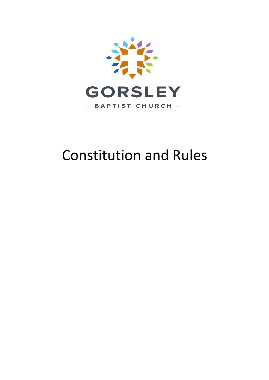

# Constitution and Rules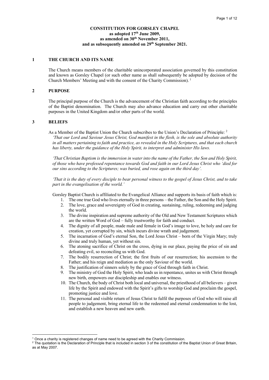#### **CONSTITUTION FOR GORSLEY CHAPEL as adopted 17th June 2009, as amended on 30th November 2011, and as subsequently amended on 29th September 2021.**

#### **1 THE CHURCH AND ITS NAME**

The Church means members of the charitable unincorporated association governed by this constitution and known as Gorsley Chapel (or such other name as shall subsequently be adopted by decision of the Church Members' Meeting and with the consent of the Charity Commission).<sup>1</sup>

#### **2 PURPOSE**

The principal purpose of the Church is the advancement of the Christian faith according to the principles of the Baptist denomination. The Church may also advance education and carry out other charitable purposes in the United Kingdom and/or other parts of the world.

## **3 BELIEFS**

As a Member of the Baptist Union the Church subscribes to the Union's Declaration of Principle: <sup>2</sup> *'That our Lord and Saviour Jesus Christ, God manifest in the flesh, is the sole and absolute authority in all matters pertaining to faith and practice, as revealed in the Holy Scriptures, and that each church has liberty, under the guidance of the Holy Spirit, to interpret and administer His laws.*

*'That Christian Baptism is the immersion in water into the name of the Father, the Son and Holy Spirit, of those who have professed repentance towards God and faith in our Lord Jesus Christ who 'died for our sins according to the Scriptures; was buried, and rose again on the third day'.*

*'That it is the duty of every disciple to bear personal witness to the gospel of Jesus Christ, and to take part in the evangelisation of the world.'*

Gorsley Baptist Church is affiliated to the Evangelical Alliance and supports its basis of faith which is:

- 1. The one true God who lives eternally in three persons the Father, the Son and the Holy Spirit.
- 2. The love, grace and sovereignty of God in creating, sustaining, ruling, redeeming and judging the world.
- 3. The divine inspiration and supreme authority of the Old and New Testament Scriptures which are the written Word of God – fully trustworthy for faith and conduct.
- 4. The dignity of all people, made male and female in God's image to love, be holy and care for creation, yet corrupted by sin, which incurs divine wrath and judgement.
- 5. The incarnation of God's eternal Son, the Lord Jesus Christ born of the Virgin Mary; truly divine and truly human, yet without sin.
- 6. The atoning sacrifice of Christ on the cross, dying in our place, paying the price of sin and defeating evil, so reconciling us with God.
- 7. The bodily resurrection of Christ; the first fruits of our resurrection; his ascension to the Father; and his reign and mediation as the only Saviour of the world.
- 8. The justification of sinners solely by the grace of God through faith in Christ.
- 9. The ministry of God the Holy Spirit, who leads us in repentance, unites us with Christ through new birth, empowers our discipleship and enables our witness.
- 10. The Church, the body of Christ both local and universal, the priesthood of all believers given life by the Spirit and endowed with the Spirit's gifts to worship God and proclaim the gospel, promoting justice and love.
- 11. The personal and visible return of Jesus Christ to fulfil the purposes of God who will raise all people to judgement, bring eternal life to the redeemed and eternal condemnation to the lost, and establish a new heaven and new earth.

 $1$  Once a charity is registered changes of name need to be agreed with the Charity Commission.

<sup>&</sup>lt;sup>2</sup> The quotation is the Declaration of Principle that is included in section 3 of the constitution of the Baptist Union of Great Britain, as at May 2007.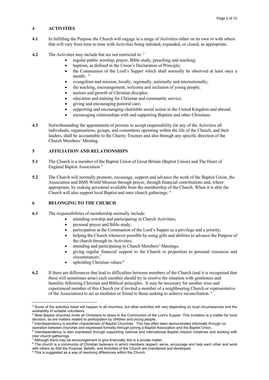# **4 ACTIVITIES**

- **4.1** In fulfilling the Purpose the Church will engage in a range of Activities either on its own or with others that will vary from time to time with Activities being initiated, expanded, or closed, as appropriate.
- **4.2** The Activities may include but are not restricted to: 3
	- regular public worship, prayer, Bible study, preaching and teaching;
	- baptism, as defined in the Union's Declaration of Principle;
	- the Communion of the Lord's Supper which shall normally be observed at least once a month: 4
	- evangelism and mission, locally, regionally, nationally and internationally;
	- the teaching, encouragement, welcome and inclusion of young people;
	- nurture and growth of Christian disciples;
	- education and training for Christian and community service;
	- giving and encouraging pastoral care;
	- supporting and encouraging charitable social action in the United Kingdom and abroad;
	- encouraging relationships with and supporting Baptists and other Christians.
- **4.3** Notwithstanding the appointment of persons to accept responsibility for any of the Activities all individuals, organisations, groups, and committees operating within the life of the Church, and their leaders, shall be accountable to the Charity Trustees and also through any specific direction of the Church Members' Meeting.

# **5 AFFILIATION AND RELATIONSHIPS**

- **5.1** The Church is a member of the Baptist Union of Great Britain (Baptist Union) and The Heart of England Baptist Association 5
- **5.2** The Church will normally promote, encourage, support and advance the work of the Baptist Union, the Association and BMS World Mission through prayer, through financial contributions and, where appropriate, by making personnel available from the membership of the Church. When it is able the Church will also support local Baptist and inter church gatherings. 6

# **6 BELONGING TO THE CHURCH**

- **6.1** The responsibilities of membership normally include:
	- attending worship and participating in Church Activities;
		- personal prayer and Bible study;
		- participation at the Communion of the Lord's Supper as a privilege and a priority;
	- helping the Church whenever possible by using gifts and abilities to advance the Purpose of the church through its Activities;
	- attending and participating in Church Members' Meetings;
	- giving regular financial support to the Church in proportion to personal resources and circumstances;7
	- $\bullet$  upholding Christian values.<sup>8</sup>
- **6.2** If there are differences that lead to difficulties between members of the Church (and it is recognised that these will sometimes arise) each member should try to resolve the situation with gentleness and humility following Christian and Biblical principles. It may be necessary for another wise and experienced member of this Church (or if invited a member of a neighbouring Church or representative of the Association) to act as mediator or friend to those seeking to achieve reconciliation. 9

<sup>&</sup>lt;sup>3</sup> Some of the activities listed will happen in all churches, but other activities will vary depending on local circumstances and the availability of suitable volunteers.

<sup>&</sup>lt;sup>4</sup> Most Baptist churches invite all Christians to share in the Communion of the Lord's Supper. This invitation is a matter for local decision, as are matters related to participation by children and young people.

 $5$  Interdependency is another characteristic of Baptist Churches. This has often been demonstrated informally through cooperation between churches and expressed formally through joining a Baptist Association and the Baptist Union.

Interdependency is also expressed through supporting national and international Baptist mission initiatives and working with inter church gatherings.

 $<sup>7</sup>$  Although there may be encouragement to give financially this is a private matter.</sup>

<sup>&</sup>lt;sup>8</sup> The church is a community of Christian believers in which members respect, serve, encourage and help each other and work with others so that the Purpose, Beliefs, and Activities of the Church are maintained and developed.

 $9$  This is suggested as a way of resolving differences within the Church.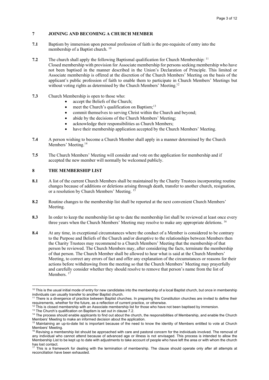# **7 JOINING AND BECOMING A CHURCH MEMBER**

- **7.1** Baptism by immersion upon personal profession of faith is the pre-requisite of entry into the membership of a Baptist church.<sup>10</sup>
- **7.2** The church shall apply the following Baptismal qualification for Church Membership: <sup>11</sup> Closed membership with provision for Associate membership for persons seeking membership who have not been baptised in the manner described in the Union's Declaration of Principle. This limited or Associate membership is offered at the discretion of the Church Members' Meeting on the basis of the applicant's public profession of faith to enable them to participate in Church Members' Meetings but without voting rights as determined by the Church Members' Meeting.<sup>12</sup>
- **7.3** Church Membership is open to those who:
	- accept the Beliefs of the Church;
		- meet the Church's qualification on Baptism; $^{13}$
		- commit themselves to serving Christ within the Church and beyond;
		- abide by the decisions of the Church Members' Meeting;
		- acknowledge their responsibilities as Church Members;
	- have their membership application accepted by the Church Members' Meeting.
- **7.4** A person wishing to become a Church Member shall apply in a manner determined by the Church Members' Meeting.<sup>14</sup>
- **7.5** The Church Members' Meeting will consider and vote on the application for membership and if accepted the new member will normally be welcomed publicly.

# **8 THE MEMBERSHIP LIST**

- 8.1 **A** list of the current Church Members shall be maintained by the Charity Trustees incorporating routine changes because of additions or deletions arising through death, transfer to another church, resignation, or a resolution by Church Members' Meeting.<sup>15</sup>
- 8.2 Routine changes to the membership list shall be reported at the next convenient Church Members' Meeting.
- **8.3** In order to keep the membership list up to date the membership list shall be reviewed at least once every three years when the Church Members' Meeting may resolve to make any appropriate deletions. <sup>16</sup>
- **8.4** At any time, in exceptional circumstances where the conduct of a Member is considered to be contrary to the Purpose and Beliefs of the Church and/or disruptive to the relationships between Members then the Charity Trustees may recommend to a Church Members' Meeting that the membership of that person be reviewed. The Church Members may, after considering the facts, terminate the membership of that person. The Church Member shall be allowed to hear what is said at the Church Members' Meeting, to correct any errors of fact and offer any explanation of the circumstances or reasons for their actions before withdrawing from the meeting so that the Church Members' Meeting may prayerfully and carefully consider whether they should resolve to remove that person's name from the list of Members.  $17$

 $10$  This is the usual initial mode of entry for new candidates into the membership of a local Baptist church, but once in membership individuals can usually transfer to another Baptist church.

<sup>&</sup>lt;sup>11</sup> There is a divergence of practice between Baptist churches. In preparing this Constitution churches are invited to define their requirements, whether for the future, as a reflection of current practice, or otherwise.

<sup>&</sup>lt;sup>12</sup> This is closed membership with an Associate membership list for those who have not been baptised by immersion.<br><sup>13</sup> The Church's qualification on Baptism is set out in clause 7.2.

<sup>&</sup>lt;sup>14</sup> The process should enable applicants to find out about the church, the responsibilities of Membership, and enable the Church<br>Members' Meeting to make an informed decision about the application.

<sup>&</sup>lt;sup>15</sup> Maintaining an up-to-date list is important because of the need to know the identity of Members entitled to vote at Church Members' Meeting.

<sup>&</sup>lt;sup>16</sup> Revising a membership list should be approached with care and pastoral concern for the individuals involved. The removal of any individual who cannot attend because of advanced age or illness is not envisaged. This process is intended to allow the Membership List to be kept up to date with adjustments to take account of people who have left the area or with whom the church has lost contact.

<sup>&</sup>lt;sup>17</sup> This is a framework for dealing with the termination of membership. The clause should operate only after all attempts at reconciliation have been exhausted.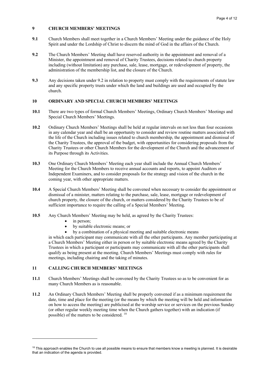# **9 CHURCH MEMBERS' MEETINGS**

- **9.1** Church Members shall meet together in a Church Members' Meeting under the guidance of the Holy Spirit and under the Lordship of Christ to discern the mind of God in the affairs of the Church.
- **9.2** The Church Members' Meeting shall have reserved authority in the appointment and removal of a Minister, the appointment and removal of Charity Trustees, decisions related to church property including (without limitation) any purchase, sale, lease, mortgage, or redevelopment of property, the administration of the membership list, and the closure of the Church.
- **9.3** Any decisions taken under 9.2 in relation to property must comply with the requirements of statute law and any specific property trusts under which the land and buildings are used and occupied by the church.

# **10 ORDINARY AND SPECIAL CHURCH MEMBERS' MEETINGS**

- **10.1** There are two types of formal Church Members' Meetings, Ordinary Church Members' Meetings and Special Church Members' Meetings.
- **10.2** Ordinary Church Members' Meetings shall be held at regular intervals on not less than four occasions in any calendar year and shall be an opportunity to consider and review routine matters associated with the life of the Church including issues related to church membership, the appointment and dismissal of the Charity Trustees, the approval of the budget, with opportunities for considering proposals from the Charity Trustees or other Church Members for the development of the Church and the advancement of its Purpose through its Activities.
- **10.3** One Ordinary Church Members' Meeting each year shall include the Annual Church Members' Meeting for the Church Members to receive annual accounts and reports, to appoint Auditors or Independent Examiners, and to consider proposals for the strategy and vision of the church in the coming year, with other appropriate matters.
- **10.4** A Special Church Members' Meeting shall be convened when necessary to consider the appointment or dismissal of a minister, matters relating to the purchase, sale, lease, mortgage or redevelopment of church property, the closure of the church, or matters considered by the Charity Trustees to be of sufficient importance to require the calling of a Special Members' Meeting.
- **10.5** Any Church Members' Meeting may be held, as agreed by the Charity Trustees:
	- in person:
	- by suitable electronic means; or
	- by a combination of a physical meeting and suitable electronic means

in which each participant may communicate with all the other participants. Any member participating at a Church Members' Meeting either in person or by suitable electronic means agreed by the Charity Trustees in which a participant or participants may communicate with all the other participants shall qualify as being present at the meeting. Church Members' Meetings must comply with rules for meetings, including chairing and the taking of minutes.

#### **11 CALLING CHURCH MEMBERS' MEETINGS**

- **11.1** Church Members' Meetings shall be convened by the Charity Trustees so as to be convenient for as many Church Members as is reasonable.
- **11.2** An Ordinary Church Members' Meeting shall be properly convened if as a minimum requirement the date, time and place for the meeting (or the means by which the meeting will be held and information on how to access the meeting) are publicised at the worship service or services on the previous Sunday (or other regular weekly meeting time when the Church gathers together) with an indication (if possible) of the matters to be considered. 18

<sup>&</sup>lt;sup>18</sup> This approach enables the Church to use all possible means to ensure that members know a meeting is planned. It is desirable that an indication of the agenda is provided.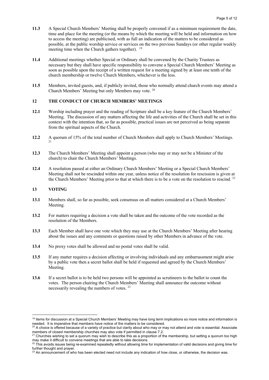- **11.3** A Special Church Members' Meeting shall be properly convened if as a minimum requirement the date, time and place for the meeting (or the means by which the meeting will be held and information on how to access the meeting) are publicised, with as full an indication of the matters to be considered as possible, at the public worship service or services on the two previous Sundays (or other regular weekly meeting time when the Church gathers together). <sup>19</sup>
- **11.4** Additional meetings whether Special or Ordinary shall be convened by the Charity Trustees as necessary but they shall have specific responsibility to convene a Special Church Members' Meeting as soon as possible upon the receipt of a written request for a meeting signed by at least one tenth of the church membership or twelve Church Members, whichever is the less.
- **11.5** Members, invited guests, and, if publicly invited, those who normally attend church events may attend a Church Members' Meeting but only Members may vote. 20

## **12 THE CONDUCT OF CHURCH MEMBERS' MEETINGS**

- **12.1** Worship including prayer and the reading of Scripture shall be a key feature of the Church Members' Meeting. The discussion of any matters affecting the life and activities of the Church shall be set in this context with the intention that, so far as possible, practical issues are not perceived as being separate from the spiritual aspects of the Church.
- **12.2** A quorum of 15% of the total number of Church Members shall apply to Church Members' Meetings. 21
- **12.3** The Church Members' Meeting shall appoint a person (who may or may not be a Minister of the church) to chair the Church Members' Meetings.
- **12.4** A resolution passed at either an Ordinary Church Members' Meeting or a Special Church Members' Meeting shall not be rescinded within one year, unless notice of the resolution for rescission is given at the Church Members' Meeting prior to that at which there is to be a vote on the resolution to rescind. <sup>22</sup>

#### **13 VOTING**

- **13.1** Members shall, so far as possible, seek consensus on all matters considered at a Church Members' Meeting.
- **13.2** For matters requiring a decision a vote shall be taken and the outcome of the vote recorded as the resolution of the Members.
- **13.3** Each Member shall have one vote which they may use at the Church Members' Meeting after hearing about the issues and any comments or questions raised by other Members in advance of the vote.
- **13.4** No proxy votes shall be allowed and no postal votes shall be valid.
- **13.5** If any matter requires a decision affecting or involving individuals and any embarrassment might arise by a public vote then a secret ballot shall be held if requested and agreed by the Church Members' Meeting.
- **13.6** If a secret ballot is to be held two persons will be appointed as scrutineers to the ballot to count the votes. The person chairing the Church Members' Meeting shall announce the outcome without necessarily revealing the numbers of votes. 23

<sup>&</sup>lt;sup>19</sup> Items for discussion at a Special Church Members' Meeting may have long term implications so more notice and information is needed. It is imperative that members have notice of the matters to be considered.

 $^{20}$  A choice is offered because of a variety of practice but clarity about who may or may not attend and vote is essential. Associate members of closed membership churches may also vote if permitted in clause 7.2.

 $^{21}$  Churches wishing to set a quorum may wish to describe this as a proportion of the membership, but setting a quorum too high may make it difficult to convene meetings that are able to take decisions.

 $^{22}$  This avoids issues being re-examined repeatedly without allowing time for implementation of valid decisions and giving time for further thought and prayer.

 $23$  An announcement of who has been elected need not include any indication of how close, or otherwise, the decision was.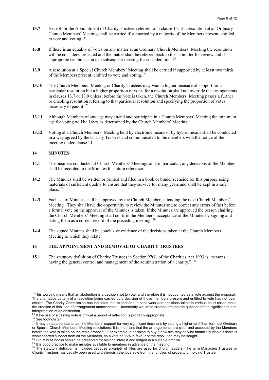- **13.7** Except for the Appointment of Charity Trustees referred to in clause 15.12 a resolution at an Ordinary Church Members' Meeting shall be carried if supported by a majority of the Members present, entitled to vote and voting.  $24$
- **13.8** If there is an equality of votes on any matter at an Ordinary Church Members' Meeting the resolution will be considered rejected and the matter shall be referred back to the submitter for review and if appropriate resubmission to a subsequent meeting for consideration. 25
- **13.9** A resolution at a Special Church Members' Meeting shall be carried if supported by at least two thirds of the Members present, entitled to vote and voting. 26
- **13.10** The Church Members' Meeting or Charity Trustees may want a higher measure of support for a particular resolution but a higher proportion of votes for a resolution shall not override the arrangements in clauses 13.7 or 13.9 unless, before the vote is taken, the Church Members' Meeting passes a further or enabling resolution referring to that particular resolution and specifying the proportion of votes necessary to pass it.  $27$
- **13.11** Although Members of any age may attend and participate in a Church Members' Meeting the minimum age for voting will be 16yrs as determined by the Church Members' Meeting.
- **13.12** Voting at a Church Members' Meeting held by electronic means or by hybrid means shall be conducted in a way agreed by the Charity Trustees and communicated to the members with the notice of the meeting under clause 11.

#### **14 MINUTES**

- **14.1** The business conducted at Church Members' Meetings and, in particular, any decisions of the Members shall be recorded in the Minutes for future reference.
- **14.2** The Minutes shall be written or printed and filed in a book or binder set aside for this purpose using materials of sufficient quality to ensure that they survive for many years and shall be kept in a safe place. 28
- **14.3** Each set of Minutes shall be approved by the Church Members attending the next Church Members' Meeting. They shall have the opportunity to review the Minutes and to correct any errors of fact before a formal vote on the approval of the Minutes is taken. If the Minutes are approved the person chairing the Church Members' Meeting shall confirm the Members' acceptance of the Minutes by signing and dating them as a correct record of the preceding meeting. <sup>29</sup>
- **14.4** The signed Minutes shall be conclusive evidence of the decisions taken at the Church Members' Meeting to which they relate.

#### **15 THE APPOINTMENT AND REMOVAL OF CHARITY TRUSTEES**

**15.1** The statutory definition of Charity Trustees in Section 97(1) of the Charities Act 1993 is "persons having the general control and management of the administration of a charity." <sup>30</sup>

<sup>&</sup>lt;sup>24</sup>This wording means that an abstention is a decision not to vote, and therefore it is not counted as a vote against the proposal. The alternative pattern of a resolution being carried by a decision of those members present and entitled to vote has not been offered. The Charity Commission has indicated that experience in case work and decisions taken in various court cases make the creation of this kind of arrangement unacceptable. Uncertainty would be created around the question of the significance and interpretation of an abstention.<br><sup>25</sup> If the use of a casting vote is critical a period of reflection is probably appropriate.

 $26$  See footnote 27.<br>
<sup>26</sup> See footnote 27.<br>
<sup>27</sup> It may be appropriate to test the Members' support for very significant decisions by setting a higher tariff than for most Ordinary or Special Church Members' Meeting resolutions. It is important that the arrangements are clear and accepted by the Members before the vote is taken on the main proposal. For example, a decision to buy a new site may only be financially viable if there is wholehearted support from all the Members, so a vote of 85% in favour of the resolution ma

<sup>29</sup> Did Minute books should be preserved for historic interest and lodged in a suitable archive.<br>29 It is good practice to make minutes available to members in advance of the meeting.

<sup>30</sup> The statutory definition is included because a variety of titles are used for church leaders. The term Managing Trustees or Charity Trustees has usually been used to distinguish the local role from the function of property or holding Trustee.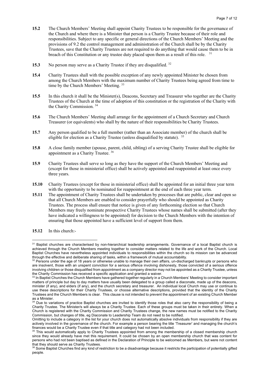- **15.2** The Church Members' Meeting shall appoint Charity Trustees to be responsible for the governance of the Church and where there is a Minister that person is a Charity Trustee because of their role and responsibilities. Subject to any specific or general directions of the Church Members' Meeting and the provisions of 9.2 the control management and administration of the Church shall be by the Charity Trustees, save that the Charity Trustees are not required to do anything that would cause them to be in breach of this Constitution or any trustee duty placed upon them as a result of this role. <sup>31</sup>
- **15.3** No person may serve as a Charity Trustee if they are disqualified. <sup>32</sup>
- **15.4** Charity Trustees shall with the possible exception of any newly appointed Minister be chosen from among the Church Members with the maximum number of Charity Trustees being agreed from time to time by the Church Members' Meeting. 33
- **15.5** In this church it shall be the Minister(s), Deacons, Secretary and Treasurer who together are the Charity Trustees of the Church at the time of adoption of this constitution or the registration of the Charity with the Charity Commission. 34
- **15.6** The Church Members' Meeting shall arrange for the appointment of a Church Secretary and Church Treasurer (or equivalents) who shall by the nature of their responsibilities be Charity Trustees.
- **15.7** Any person qualified to be a full member (rather than an Associate member) of the church shall be eligible for election as a Charity Trustee (unless disqualified by statute). <sup>35</sup>
- **15.8** A close family member (spouse, parent, child, sibling) of a serving Charity Trustee shall be eligible for appointment as a Charity Trustee. 36
- **15.9** Charity Trustees shall serve so long as they have the support of the Church Members' Meeting and (except for those in ministerial office) shall be actively appointed and reappointed at least once every three years.
- **15.10** Charity Trustees (except for those in ministerial office) shall be appointed for an initial three year term with the opportunity to be nominated for reappointment at the end of each three year term.
- **15.11** The appointment of Charity Trustees shall be undertaken by processes that are public, clear and open so that all Church Members are enabled to consider prayerfully who should be appointed as Charity Trustees. The process shall ensure that notice is given of any forthcoming election so that Church Members may freely nominate prospective Charity Trustees whose names shall be submitted (after they have indicated a willingness to be appointed) for decision to the Church Members with the intention of ensuring that those appointed have a sufficient level of support from them.
- **15.12** In this church:-

<sup>&</sup>lt;sup>31</sup> Baptist churches are characterised by non-hierarchical leadership arrangements. Governance of a local Baptist church is achieved through the Church Members meeting together to consider matters related to the life and work of the Church. Local Baptist Churches have nevertheless appointed individuals to responsibilities within the church so its mission can be advanced through the effective and deliberate sharing of tasks, within a framework of mutual accountability.

<sup>&</sup>lt;sup>32</sup> Persons under the age of 18 years or otherwise unable to manage their own affairs, un-discharged bankrupts or persons who are insolvent, those with an unspent conviction for a serious offence involving dishonesty, those convicted of a serious offence involving children or those disqualified from appointment as a company director may not be appointed as a Charity Trustee, unless the Charity Commission has received a specific application and granted a waiver.

 $33$  In Baptist Churches the Church Members have gathered together regularly in a Church Members' Meeting to consider important matters of principle but day to day matters have usually been delegated to a group called a diaconate, made up of the deacons, minister (if any), and elders (if any), and the church secretary and treasurer. An individual local Church may use or continue to use these descriptions for their Charity Trustees, or choose alternative descriptions, provided that the identity of the Charity Trustees and the Church Members is clear. This clause is not intended to prevent the appointment of an existing Church Member as a Minister.

<sup>&</sup>lt;sup>34</sup> Due to variations of practice Baptist churches are invited to identify those roles that also carry the responsibility of being a Charity Trustee. The Minister/s will always be a Charity Trustee. Each of these groups must be taken in their entirety. When a Church is registered with the Charity Commission and Charity Trustees change, the new names must be notified to the Charity Commission, but changes of title, eg Diaconate to Leadership Team do not need to be notified.

Omitting to include a category in the list for your church does not automatically absolve individuals from responsibility if they are actively involved in the governance of the church. For example a person bearing the title 'Treasurer' and managing the church's finances would be a Charity Trustee even if that title and category had not been included.<br><sup>35</sup> This would outproducelly species of the interval of the included.

This would automatically apply to Charity Trustees appointed from among the membership of a closed membership church since they would already have met this requirement. It could be chosen by an open membership church that was content for persons who had not been baptised as defined in the Declaration of Principle to be welcomed as Members, but were not content

that they should serve as Charity Trustees.<br><sup>36</sup> Some Baptist Churches find any kind of restriction to be a disadvantage because it restricts the participation of potentially gifted people.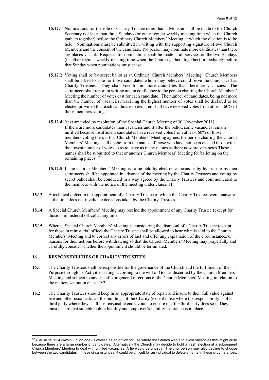- **15.12.1** Nominations for the role of Charity Trustee other than a Minister shall be made to the Church Secretary not later than three Sundays (or other regular weekly meeting time when the Church gathers together) before the Ordinary Church Members' Meeting at which the election is to be held. Nominations must be submitted in writing with the supporting signature of two Church Members and the consent of the candidate. No person may nominate more candidates than there are places vacant. Requests for nominations shall be made at all services on the two Sundays (or other regular weekly meeting time when the Church gathers together) immediately before that Sunday when nominations must cease.
- **15.12.2** Voting shall be by secret ballot at an Ordinary Church Members' Meeting. Church Members shall be asked to vote for those candidates whom they believe could serve the church well as Charity Trustees. They shall vote for no more candidates than there are vacancies. The scrutineers shall report in writing and in confidence to the person chairing the Church Members' Meeting the number of votes cast for each candidate. The number of candidates, being not more than the number of vacancies, receiving the highest number of votes shall be declared to be elected provided that each candidate so declared shall have received votes from at least 60% of those members voting.
- **15.12.4** [text amended by resolution of the Special Church Meeting of 30 November 2011] If there are more candidates than vacancies and if after the ballot, some vacancies remain unfilled because insufficient candidates have received votes from at least 60% of those members voting then, if that Church Members' Meeting agrees, the person chairing the Church Members' Meeting shall delete from the names of those who have not been elected those with the lowest number of votes so as to leave as many names as there now are vacancies These names shall be submitted to that or another Church Members' Meeting for balloting on the remaining places. 37
- **15.12.5** If the Church Members' Meeting is to be held by electronic means or by hybrid means then scrutineers shall be appointed in advance of the meeting by the Charity Trustees and voting by secret ballot shall be conducted in a way agreed by the Charity Trustees and communicated to the members with the notice of the meeting under clause 11.
- **15.13** A technical defect in the appointment of a Charity Trustee of which the Charity Trustees were unaware at the time does not invalidate decisions taken by the Charity Trustees.
- **15.14** A Special Church Members' Meeting may rescind the appointment of any Charity Trustee (except for those in ministerial office) at any time.
- **15.15** Where a Special Church Members' Meeting is considering the dismissal of a Charity Trustee (except for those in ministerial office) the Charity Trustee shall be allowed to hear what is said to the Church Members' Meeting and to correct any errors of fact and offer any explanation of the circumstances or reasons for their actions before withdrawing so that the Church Members' Meeting may prayerfully and carefully consider whether the appointment should be terminated.

#### **16 RESPONSIBILITIES OF CHARITY TRUSTEES**

- **16.1** The Charity Trustees shall be responsible for the governance of the Church and the fulfilment of the Purpose through its Activities acting according to the will of God as discerned by the Church Members' Meeting and subject to any specific or general directions of the Church Members' Meeting in relation to the matters set out in clause 9.2.
- **16.2** The Charity Trustees should keep in an appropriate state of repair and insure to their full value against fire and other usual risks all the buildings of the Charity (except those where the responsibility is of a third party where they shall use reasonable endeavours to ensure that the third party does so). They must ensure that suitable public liability and employer's liability insurance is in place.

<sup>&</sup>lt;sup>37</sup> Clause 15.12.4 (within Option one) is offered as an option for use where the Church wants to avoid vacancies that might arise because there are a large number of candidates. Alternatively the Church may decide to hold a fresh election at a subsequent Church Members' Meeting to deal with unfilled vacancies. A tie would be unusual. The chairperson may also decline to choose between the two candidates in these circumstances. It could be difficult for an individual to delete a name in these circumstances.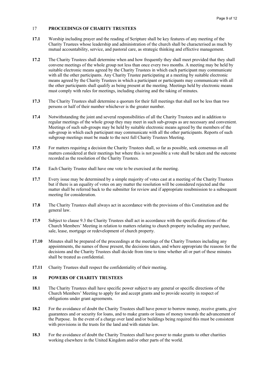# 17 **PROCEEDINGS OF CHARITY TRUSTEES**

- **17.1** Worship including prayer and the reading of Scripture shall be key features of any meeting of the Charity Trustees whose leadership and administration of the church shall be characterised as much by mutual accountability, service, and pastoral care, as strategic thinking and effective management.
- **17.2** The Charity Trustees shall determine when and how frequently they shall meet provided that they shall convene meetings of the whole group not less than once every two months. A meeting may be held by suitable electronic means agreed by the Charity Trustees in which each participant may communicate with all the other participants. Any Charity Trustee participating at a meeting by suitable electronic means agreed by the Charity Trustees in which a participant or participants may communicate with all the other participants shall qualify as being present at the meeting. Meetings held by electronic means must comply with rules for meetings, including chairing and the taking of minutes.
- **17.3** The Charity Trustees shall determine a quorum for their full meetings that shall not be less than two persons or half of their number whichever is the greater number.
- **17.4** Notwithstanding the joint and several responsibilities of all the Charity Trustees and in addition to regular meetings of the whole group they may meet in such sub-groups as are necessary and convenient. Meetings of such sub-groups may be held by suitable electronic means agreed by the members of the sub-group in which each participant may communicate with all the other participants. Reports of such subgroup meetings must be made to the next full Charity Trustees Meeting.
- **17.5** For matters requiring a decision the Charity Trustees shall, so far as possible, seek consensus on all matters considered at their meetings but where this is not possible a vote shall be taken and the outcome recorded as the resolution of the Charity Trustees.
- **17.6** Each Charity Trustee shall have one vote to be exercised at the meeting.
- **17.7** Every issue may be determined by a simple majority of votes cast at a meeting of the Charity Trustees but if there is an equality of votes on any matter the resolution will be considered rejected and the matter shall be referred back to the submitter for review and if appropriate resubmission to a subsequent meeting for consideration.
- **17.8** The Charity Trustees shall always act in accordance with the provisions of this Constitution and the general law.
- **17.9** Subject to clause 9.3 the Charity Trustees shall act in accordance with the specific directions of the Church Members' Meeting in relation to matters relating to church property including any purchase, sale, lease, mortgage or redevelopment of church property.
- **17.10** Minutes shall be prepared of the proceedings at the meetings of the Charity Trustees including any appointments, the names of those present, the decisions taken, and where appropriate the reasons for the decisions and the Charity Trustees shall decide from time to time whether all or part of these minutes shall be treated as confidential.
- **17.11** Charity Trustees shall respect the confidentiality of their meeting.

#### **18 POWERS OF CHARITY TRUSTEES**

- **18.1** The Charity Trustees shall have specific power subject to any general or specific directions of the Church Members' Meeting to apply for and accept grants and to provide security in respect of obligations under grant agreements.
- **18.2** For the avoidance of doubt the Charity Trustees shall have power to borrow money, receive grants, give guarantees and or security for loans, and to make grants or loans of money towards the advancement of the Purpose. In the event of a charge over land and/or buildings being required this must be consistent with provisions in the trusts for the land and with statute law.
- **18.3** For the avoidance of doubt the Charity Trustees shall have power to make grants to other charities working elsewhere in the United Kingdom and/or other parts of the world.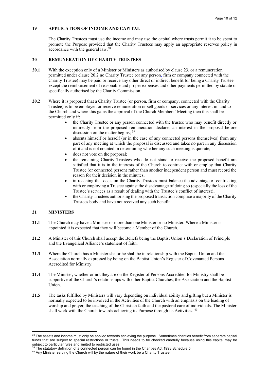# **19 APPLICATION OF INCOME AND CAPITAL**

The Charity Trustees must use the income and may use the capital where trusts permit it to be spent to promote the Purpose provided that the Charity Trustees may apply an appropriate reserves policy in accordance with the general law.38

## **20 REMUNERATION OF CHARITY TRUSTEES**

- **20.1** With the exception only of a Minister or Ministers as authorised by clause 23, or a remuneration permitted under clause 20.2 no Charity Trustee (or any person, firm or company connected with the Charity Trustee) may be paid or receive any other direct or indirect benefit for being a Charity Trustee except the reimbursement of reasonable and proper expenses and other payments permitted by statute or specifically authorised by the Charity Commission.
- 20.2 Where it is proposed that a Charity Trustee (or person, firm or company, connected with the Charity Trustee) is to be employed or receive remuneration or sell goods or services or any interest in land to the Church and where this gains the approval of the Church Members' Meeting then this shall be permitted only if:
	- the Charity Trustee or any person connected with the trustee who may benefit directly or indirectly from the proposed remuneration declares an interest in the proposal before discussion on the matter begins; <sup>39</sup>
	- absents himself or herself (or in the case of any connected persons themselves) from any part of any meeting at which the proposal is discussed and takes no part in any discussion of it and is not counted in determining whether any such meeting is quorate;
	- does not vote on the proposal;
	- the remaining Charity Trustees who do not stand to receive the proposed benefit are satisfied that it is in the interests of the Church to contract with or employ that Charity Trustee (or connected person) rather than another independent person and must record the reason for their decision in the minutes;
	- in reaching that decision the Charity Trustees must balance the advantage of contracting with or employing a Trustee against the disadvantage of doing so (especially the loss of the Trustee's services as a result of dealing with the Trustee's conflict of interest);
	- the Charity Trustees authorising the proposed transaction comprise a majority of the Charity Trustees body and have not received any such benefit.

## **21 MINISTERS**

- **21.1** The Church may have a Minister or more than one Minister or no Minister. Where a Minister is appointed it is expected that they will become a Member of the Church.
- **21.2** A Minister of this Church shall accept the Beliefs being the Baptist Union's Declaration of Principle and the Evangelical Alliance's statement of faith.
- **21.3** Where the Church has a Minister she or he shall be in relationship with the Baptist Union and the Association normally expressed by being on the Baptist Union's Register of Covenanted Persons Accredited for Ministry.
- **21.4** The Minister, whether or not they are on the Register of Persons Accredited for Ministry shall be supportive of the Church's relationships with other Baptist Churches, the Association and the Baptist Union.
- **21.5** The tasks fulfilled by Ministers will vary depending on individual ability and gifting but a Minister is normally expected to be involved in the Activities of the Church with an emphasis on the leading of worship and prayer, the teaching of the Christian faith and the pastoral care of individuals. The Minister shall work with the Church towards achieving its Purpose through its Activities.<sup>40</sup>

<sup>&</sup>lt;sup>38</sup> The assets and income must only be applied towards achieving the purpose. Sometimes charities benefit from separate capital funds that are subject to special restrictions or trusts. This needs to be checked carefully because using this capital may be subject to particular rules and limited to restricted uses.

<sup>&</sup>lt;sup>39</sup> The statutory definition of a connected person can be found in the Charities Act 1993 Schedule 5.

<sup>&</sup>lt;sup>40</sup> Any Minister serving the Church will by the nature of their work be a Charity Trustee.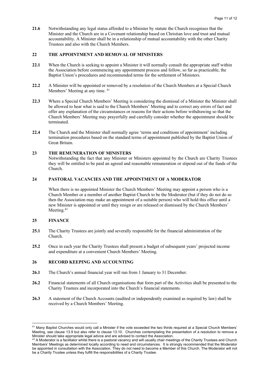**21.6** Notwithstanding any legal status afforded to a Minister by statute the Church recognises that the Minister and the Church are in a Covenant relationship based on Christian love and trust and mutual accountability. A Minister shall be in a relationship of mutual accountability with the other Charity Trustees and also with the Church Members.

# **22 THE APPOINTMENT AND REMOVAL OF MINISTERS**

- **22.1** When the Church is seeking to appoint a Minister it will normally consult the appropriate staff within the Association before commencing any appointment process and follow, so far as practicable, the Baptist Union's procedures and recommended terms for the settlement of Ministers.
- **22.2** A Minister will be appointed or removed by a resolution of the Church Members at a Special Church Members' Meeting at any time. <sup>41</sup>
- **22.3** Where a Special Church Members' Meeting is considering the dismissal of a Minister the Minister shall be allowed to hear what is said to the Church Members' Meeting and to correct any errors of fact and offer any explanation of the circumstances or reasons for their actions before withdrawing so that the Church Members' Meeting may prayerfully and carefully consider whether the appointment should be terminated.
- **22.4** The Church and the Minister shall normally agree 'terms and conditions of appointment' including termination procedures based on the standard terms of appointment published by the Baptist Union of Great Britain.

## **23 THE REMUNERATION OF MINISTERS**

Notwithstanding the fact that any Minister or Ministers appointed by the Church are Charity Trustees they will be entitled to be paid an agreed and reasonable remuneration or stipend out of the funds of the Church.

## **24 PASTORAL VACANCIES AND THE APPOINTMENT OF A MODERATOR**

When there is no appointed Minister the Church Members' Meeting may appoint a person who is a Church Member or a member of another Baptist Church to be the Moderator (but if they do not do so then the Association may make an appointment of a suitable person) who will hold this office until a new Minister is appointed or until they resign or are released or dismissed by the Church Members' Meeting.<sup>42</sup>

## **25 FINANCE**

- **25.1** The Charity Trustees are jointly and severally responsible for the financial administration of the Church.
- **25.2** Once in each year the Charity Trustees shall present a budget of subsequent years' projected income and expenditure at a convenient Church Members' Meeting.

# **26 RECORD KEEPING AND ACCOUNTING**

- **26.1** The Church's annual financial year will run from 1 January to 31 December.
- **26.2** Financial statements of all Church organisations that form part of the Activities shall be presented to the Charity Trustees and incorporated into the Church's financial statements.
- **26.3** A statement of the Church Accounts (audited or independently examined as required by law) shall be received by a Church Members' Meeting.

<sup>&</sup>lt;sup>41</sup> Many Baptist Churches would only call a Minister if the vote exceeded the two thirds required at a Special Church Members' Meeting, see clause 13.9 but also refer to clause 13.10. Churches contemplating the presentation of a resolution to remove a Minister should take appropriate legal advice and are advised to contact the Association.

A Moderator is a facilitator whilst there is a pastoral vacancy and will usually chair meetings of the Charity Trustees and Church Members' Meetings as determined locally according to need and circumstances. It is strongly recommended that the Moderator be appointed in consultation with the Association. They do not need to become a Member of this Church. The Moderator will not be a Charity Trustee unless they fulfill the responsibilities of a Charity Trustee.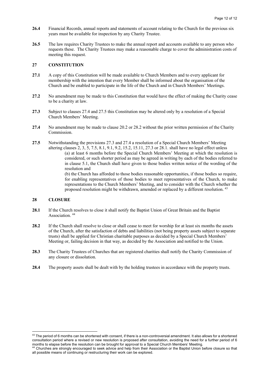- **26.4** Financial Records, annual reports and statements of account relating to the Church for the previous six years must be available for inspection by any Charity Trustee.
- **26.5** The law requires Charity Trustees to make the annual report and accounts available to any person who requests these. The Charity Trustees may make a reasonable charge to cover the administration costs of meeting this request.

#### **27 CONSTITUTION**

- **27.1** A copy of this Constitution will be made available to Church Members and to every applicant for membership with the intention that every Member shall be informed about the organisation of the Church and be enabled to participate in the life of the Church and in Church Members' Meetings.
- **27.2** No amendment may be made to this Constitution that would have the effect of making the Charity cease to be a charity at law.
- **27.3** Subject to clauses 27.4 and 27.5 this Constitution may be altered only by a resolution of a Special Church Members' Meeting.
- **27.4** No amendment may be made to clause 20.2 or 28.2 without the prior written permission of the Charity Commission.
- **27.5** Notwithstanding the provisions 27.3 and 27.4 a resolution of a Special Church Members' Meeting altering clauses 2, 3, 5, 7.5, 8.1, 9.1, 9.2, 15.2, 15.11, 27.3 or 28.1. shall have no legal effect unless (a) at least 6 months before the Special Church Members' Meeting at which the resolution is considered, or such shorter period as may be agreed in writing by each of the bodies referred to in clause 5.1, the Church shall have given to those bodies written notice of the wording of the resolution and (b) the Church has afforded to those bodies reasonable opportunities, if those bodies so require, for enabling representatives of those bodies to meet representatives of the Church, to make representations to the Church Members' Meeting, and to consider with the Church whether the proposed resolution might be withdrawn, amended or replaced by a different resolution. 43

#### **28 CLOSURE**

- **28.1** If the Church resolves to close it shall notify the Baptist Union of Great Britain and the Baptist Association. 44
- **28.2** If the Church shall resolve to close or shall cease to meet for worship for at least six months the assets of the Church, after the satisfaction of debts and liabilities (not being property assets subject to separate trusts) shall be applied for Christian charitable purposes as decided by a Special Church Members' Meeting or, failing decision in that way, as decided by the Association and notified to the Union.
- **28.3** The Charity Trustees of Churches that are registered charities shall notify the Charity Commission of any closure or dissolution.
- **28.4** The property assets shall be dealt with by the holding trustees in accordance with the property trusts.

<sup>&</sup>lt;sup>43</sup> The period of 6 months can be shortened with consent, if there is a non-controversial amendment. It also allows for a shortened consultation period where a revised or new resolution is proposed after consultation, avoiding the need for a further period of 6 months to elapse before the resolution can be brought for approval to a Special Church Members' Meeting.

<sup>44</sup> Churches are strongly encouraged to seek advice and help from their Association or the Baptist Union before closure so that all possible means of continuing or restructuring their work can be explored.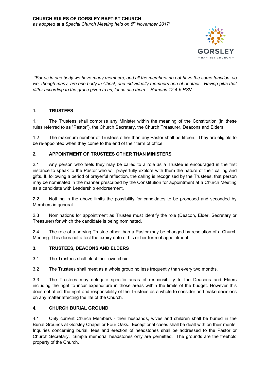

*"For as in one body we have many members, and all the members do not have the same function, so*  we, though many, are one body in Christ, and individually members one of another. Having gifts that *differ according to the grace given to us, let us use them." Romans 12:4-6 RSV*

# **1. TRUSTEES**

1.1 The Trustees shall comprise any Minister within the meaning of the Constitution (in these rules referred to as "Pastor"), the Church Secretary, the Church Treasurer, Deacons and Elders.

1.2 The maximum number of Trustees other than any Pastor shall be fifteen. They are eligible to be re-appointed when they come to the end of their term of office.

# **2. APPOINTMENT OF TRUSTEES OTHER THAN MINISTERS**

2.1 Any person who feels they may be called to a role as a Trustee is encouraged in the first instance to speak to the Pastor who will prayerfully explore with them the nature of their calling and gifts. If, following a period of prayerful reflection, the calling is recognised by the Trustees, that person may be nominated in the manner prescribed by the Constitution for appointment at a Church Meeting as a candidate with Leadership endorsement.

2.2 Nothing in the above limits the possibility for candidates to be proposed and seconded by Members in general.

2.3 Nominations for appointment as Trustee must identify the role (Deacon, Elder, Secretary or Treasurer) for which the candidate is being nominated.

2.4 The role of a serving Trustee other than a Pastor may be changed by resolution of a Church Meeting. This does not affect the expiry date of his or her term of appointment.

# **3. TRUSTEES, DEACONS AND ELDERS**

3.1 The Trustees shall elect their own chair.

3.2 The Trustees shall meet as a whole group no less frequently than every two months.

3.3 The Trustees may delegate specific areas of responsibility to the Deacons and Elders including the right to incur expenditure in those areas within the limits of the budget. However this does not affect the right and responsibility of the Trustees as a whole to consider and make decisions on any matter affecting the life of the Church.

# **4. CHURCH BURIAL GROUND**

4.1 Only current Church Members - their husbands, wives and children shall be buried in the Burial Grounds at Gorsley Chapel or Four Oaks. Exceptional cases shall be dealt with on their merits. Inquiries concerning burial, fees and erection of headstones shall be addressed to the Pastor or Church Secretary. Simple memorial headstones only are permitted. The grounds are the freehold property of the Church.